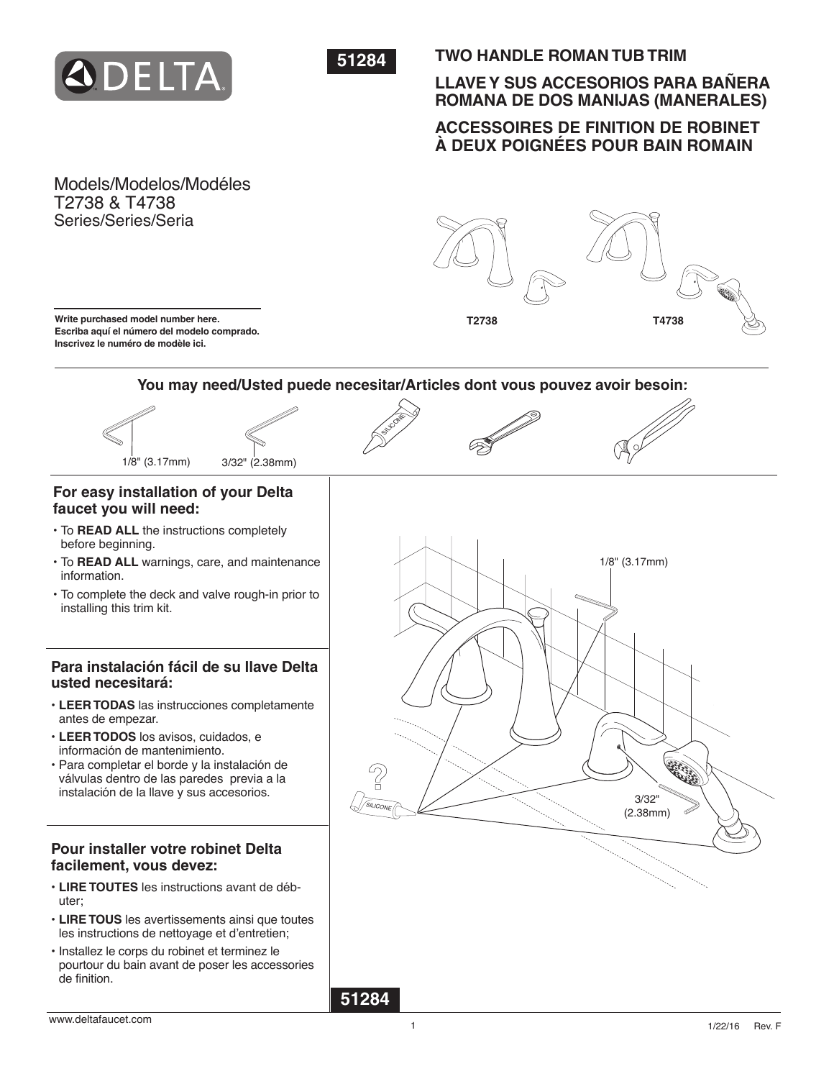



## **TWO HANDLE ROMAN TUB TRIM**

## **LLAVE Y SUS ACCESORIOS PARA BAÑERA ROMANA DE DOS MANIJAS (MANERALES)**

## **ACCESSOIRES DE FINITION DE ROBINET À DEUX POIGNÉES POUR BAIN ROMAIN**

Models/Modelos/Modéles T2738 & T4738 Series/Series/Seria



**Write purchased model number here. Escriba aquí el número del modelo comprado. Inscrivez le numéro de modèle ici.**

## **You may need/Usted puede necesitar/Articles dont vous pouvez avoir besoin:**









# **faucet you will need:**

- To **READ ALL** the instructions completely before beginning.
- To **READ ALL** warnings, care, and maintenance information.
- To complete the deck and valve rough-in prior to installing this trim kit.

## **Para instalación fácil de su llave Delta usted necesitará:**

- **LEER TODAS** las instrucciones completamente antes de empezar.
- **LEER TODOS** los avisos, cuidados, e información de mantenimiento.
- Para completar el borde y la instalación de válvulas dentro de las paredes previa a la instalación de la llave y sus accesorios.

## **Pour installer votre robinet Delta facilement, vous devez:**

- **LIRE TOUTES** les instructions avant de débuter;
- **LIRE TOUS** les avertissements ainsi que toutes les instructions de nettoyage et d'entretien;
- Installez le corps du robinet et terminez le pourtour du bain avant de poser les accessories de finition.

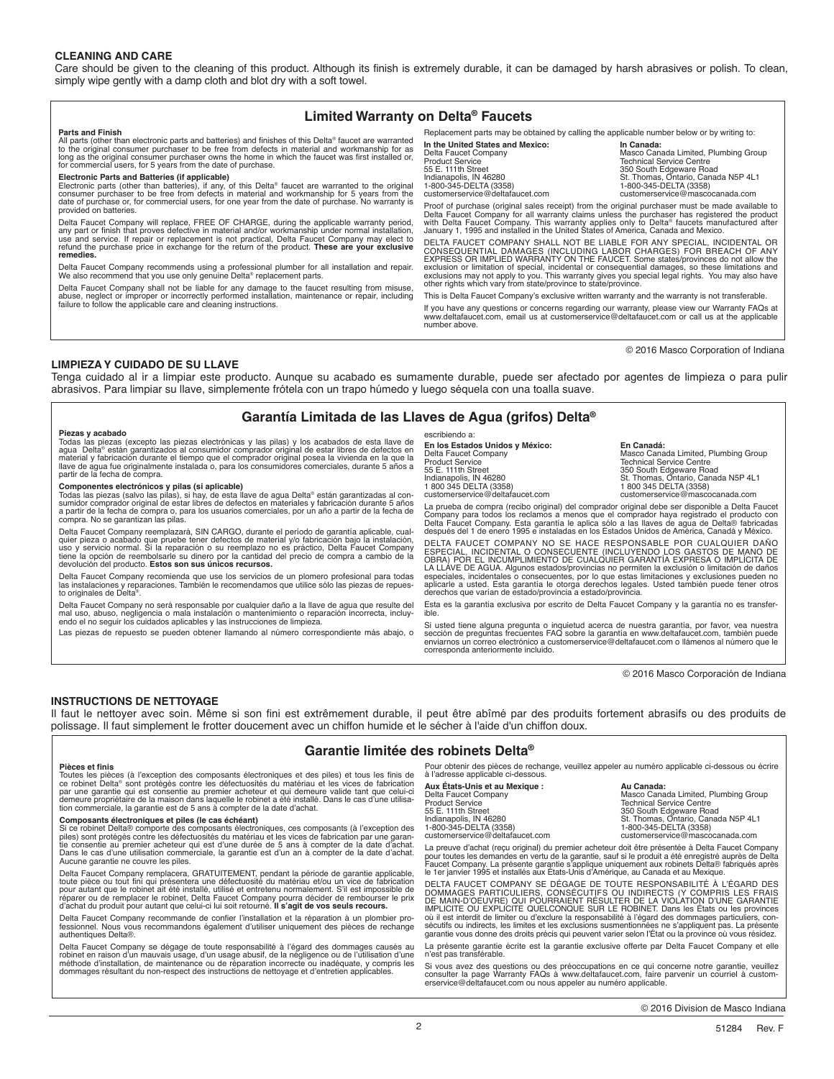#### **CLEANING AND CARE**

Care should be given to the cleaning of this product. Although its finish is extremely durable, it can be damaged by harsh abrasives or polish. To clean, simply wipe gently with a damp cloth and blot dry with a soft towel.

### **Limited Warranty on Delta® Faucets**

**Parts and Finish**

All parts (other than electronic parts and batteries) and finishes of this Delta® faucet are warranted<br>to the original consumer purchaser to be free from defects in material and workmanship for as<br>long as the original cons

Electronic Parts and Batteries (if applicable)<br>Electronic parts (other than batteries), if any, of this Delta® faucet are warranted to the original<br>Consumer purchaser to be free from defects in material and workmanship for provided on batteries.

Delta Faucet Company will replace, FREE OF CHARGE, during the applicable warranty period, any part or finish that proves defective in material and/or workmanship under normal installation,<br>use and service. If repair or replacement is not practical, Delta Faucet Company may elect to<br>refund the purchase price in

Delta Faucet Company recommends using a professional plumber for all installation and repair. We also recommend that you use only genuine Delta® replacement parts.

Delta Faucet Company shall not be liable for any damage to the faucet resulting from misuse,<br>abuse, neglect or improper or incorrectly performed installation, maintenance or repair, including<br>failure to follow the applicab

Replacement parts may be obtained by calling the applicable number below or by writing to:

**In the United States and Mexico: In Canada:** Faucet Company **Company Company Company Company Company Masco Canada Limited, Plumbing Group**<br>Technical Service Centre Product Service<br>55 E. 111th Street 350 Street 350 South Edgeware Road<br>11th Street 350 St. Thomas, Ontario, Canada N5P 4L1 1-800-345-DELTA (3358)<br>
customerservice@deltafaucet.com delta customerservice@mascocanada.com

Proof of purchase (original sales receipt) from the original purchaser must be made available to Delta Faucet Company for all warranty claims unless the purchaser has registered the product<br>with Delta Faucet Company. This warranty applies only to Delta® faucets manufactured after<br>January 1, 1995 and installed in the U

DELTA FAUCET COMPANY SHALL NOT BE LIABLE FOR ANY SPECIAL, INCIDENTAL OR<br>CONSEQUENTIAL DAMAGES (INCLUDING LABOR CHARGES) FOR BREACH OF ANY<br>EXPRESS OR IMPLIED WARRANTY ON THE FAUCET. Some states/provinces do not allow the exclusion or limitation of special, incidental or consequential damages, so these limitations and<br>exclusions may not apply to you. This warranty gives you special legal rights. You may also have<br>other rights which vary fr

This is Delta Faucet Company's exclusive written warranty and the warranty is not transferable.

If you have any questions or concerns regarding our warranty, please view our Warranty FAQs at www.deltafaucet.com, email us at customerservice@deltafaucet.com or call us at the applicable number above.

© 2016 Masco Corporation of Indiana

#### **LIMPIEZA Y CUIDADO DE SU LLAVE**

Tenga cuidado al ir a limpiar este producto. Aunque su acabado es sumamente durable, puede ser afectado por agentes de limpieza o para pulir abrasivos. Para limpiar su llave, simplemente frótela con un trapo húmedo y luego séquela con una toalla suave.

### **Garantía Limitada de las Llaves de Agua (grifos) Delta®**

**Piezas y acabado**<br>Todas las piezas (excepto las piezas electrónicas y las pilas) y los acabados de esta llave de<br>agua Delta® están garantizados al consumidor comprador original de estar libres de defectos en<br>material y fa

**Componentes electrónicos y pilas (si aplicable)**<br>Todas las piezas (salvo las pilas), si hay, de esta llave de agua Delta® están garantizadas al con-<br>sumidor comprador original de estar libres de defectos en materiales y f compra. No se garantizan las pilas.

Delta Faucet Company reemplazarà, SIN CARGO, durante el periodo de garantia aplicable, cual-<br>quier pieza o acabado que pruebe tener defectos de material y/o fabricación bajo la instalación,<br>uso y servicio normal. Si la rep tiene la opción de reembolsarle su dinero por la cantidad del precio de compra a cambio de la devolución del producto. **Estos son sus únicos recursos.** 

Delta Faucet Company recomienda que use los servicios de un plomero profesional para todas las instalaciones y reparaciones. También le recomendamos que utilice sólo las piezas de repues-to originales de Delta®.

Delta Faucet Company no será responsable por cualquier daño a la llave de agua que resulte del<br>mal uso, abuso, negligencia o mala instalación o mantenimiento o reparación incorrecta, incluy-<br>endo el no seguir los cuidados

Las piezas de repuesto se pueden obtener llamando al número correspondiente más abajo, o

escribiendo a:

**En los Estados Unidos y México:**<br>Delta Faucet Company

customerservice@deltafaucet.com

**En Ios Estados Unidos y México:**<br>
Delta Faucet Company México: Masco Canada Limited, Plumbing Group<br>
Product Service Cantre Product Service<br>55 E. 111th Street 11 (1998) Street 2000 Street Road 10 (1990 Street Road 105 Packer Road 105 Packer 1035 Pack<br>1800 345 DELTA (3358) St. Thomas, Ontario, Canada N5P 4L1<br>1800 345 DELTA (3358) customerservice@deltafaucet.com customerservice@mascocanada.com

La prueba de compra (recibo original) del comprador original debe ser disponible a Delta Faucet Company para todos los reclamos a menos que el comprador haya registrado el producto con<br>Delta Faucet Company. Esta garantía le aplica sólo a las llaves de agua de Delta® fabricadas<br>después del 1 de enero 1995 e instaladas

DELTA FAUCET COMPANY NO SE HACE RESPONSABLE POR CUALQUIER DANO<br>ESPECIAL, INCIDENTAL O CONSECUENTE (INCLUYENDO LOS GASTOS DE MANO DE<br>OBRA) POR EL INCUMPLIMIENTO DE CUALQUIER GARANTÍA EXPRESA O IMPLÍCITA DE<br>LA LLÁVE DE AGUA. especiales, incidentales o consecuentes, por lo que estas limitaciones y exclusiones pueden no<br>aplicarle a usted. Esta garantía le otorga derechos legales. Usted también puede tener otros<br>derechos que varían de estado/prov

Esta es la garantía exclusiva por escrito de Delta Faucet Company y la garantía no es transfer-<br>ible.

Si usted tiene alguna pregunta o inquietud acerca de nuestra garantía, por favor, vea nuestra sección de preguntas frecuentes FAQ sobre la garantía en www.deltafaucet.com, también puede enviarnos un correo electrónico a customerservice@deltafaucet.com o llámenos al número que le corresponda anteriormente incluido.

© 2016 Masco Corporación de Indiana

### **INSTRUCTIONS DE NETTOYAGE**

Il faut le nettoyer avec soin. Même si son fini est extrêmement durable, il peut être abîmé par des produits fortement abrasifs ou des produits de polissage. Il faut simplement le frotter doucement avec un chiffon humide et le sécher à l'aide d'un chiffon doux.

### **Garantie limitée des robinets Delta®**

#### **Pièces et finis**

Toutes les pièces (à l'exception des composants électroniques et des piies) et tous les finis de<br>ce robinet Delta® sont protégés contre les défectuosités du matériau et les vices de fabrication<br>par une garantie qui est con

#### **Composants électroniques et piles (le cas échéant)**

Si ce robinet Delta® comporte des composants électroniques, ces composants (à l'exception des<br>piles) sont protégés contre les défectuosités du matériau et les vices de fabrication par une garan-<br>tie consentie au premier a Dans le cas d'une utilisation commerciale, la garantie est d'un an à compter de la date d'achat. Aucune garantie ne couvre les piles.

Delta Faucet Company remplacera, GRATUITEMENT, pendant la période de garantie applicable,<br>toute pièce ou tout fini qui présentera une défectuosité du matériau et/ou un vice de fabrication<br>pour autant que le robinet ait été

Delta Faucet Company recommande de confier l'installation et la réparation à un plombier professionnel. Nous vous recommandons également d'utiliser uniquement des pièces de rechange authentiques Delta®.

Delta Faucet Company se dégage de toute responsabilité à l'égard des dommages causés au robinet en raison d'un mauvais usage, d'un usage abusif, de la négligence ou de l'utilisation d'une<br>méthode d'installation, de maintenance ou de réparation incorrecte ou inadéquate, y compris les<br>dommages résultant du non-

Pour obtenir des pièces de rechange, veuillez appeler au numéro applicable ci-dessous ou écrire à l'adresse applicable ci-dessous.

**Aux États-Unis et au Mexique :**<br>Delta Faucet Company Product Service Technical Service Centre<br>
55 E. 111th Street<br>
55 E. 111th Street customerservice@deltafaucet.com customerservice@mascocanada.com

**Aux États-Unis et au Mexique : Aux Canada Aux États-Unis et au Mexique :**<br>Delta Faucet Company Masco Canada Limited, Plumbing Group<br>Product Service 55 E. 111th Street 350 South Edgeware Road<br>| Indianapolis, IN 46280 South Street 350 South Edgeware Road<br>| 1-800-345-DELTA (3358) \$ 1-800-345-DELTA (3358) Indianapolis, IN 46280 St. Thomas, Ontario, Canada N5P 4L1 1-800-345-DELTA (3358) 1-800-345-DELTA (3358)

La preuve d'achat (reçu original) du premier acheteur doit être présentée à Delta Faucet Company<br>pour toutes les demandes en vertu de la garantie, sauf si le produit a été enregistré auprès de Delta<br>Faucet Company. La pré

DELTA FAUCET COMPANY SE DÉGAGE DE TOUTE RESPONSABILITÉ À L'ÉGARD DES DOMMAGES PARTICULIERS, CONSECUTIFS OU INDIRECTS (Y COMPRIS LES FRAIS<br>DE MAIN-D'OEUVRE) QUI POURRAIENT RÉSULTER DE LA VIOLATION D'UNE GARANTIE<br>IMPLICITE OU EXPLICITE QUELCONQUE SUR LE ROBINET. Dans les États ou les province garantie vous donne des droits précis qui peuvent varier selon l'État ou la province où vous résidez.

La présente garantie écrite est la garantie exclusive offerte par Delta Faucet Company et elle n'est pas transférable.

Si vous avez des questions ou des préoccupations en ce qui concerne notre garantie, veuillez<br>consulter la page Warranty FAQs à www.deltafaucet.com, faire parvenir un courriel à custom-<br>erservice@deltafaucet.com ou nous app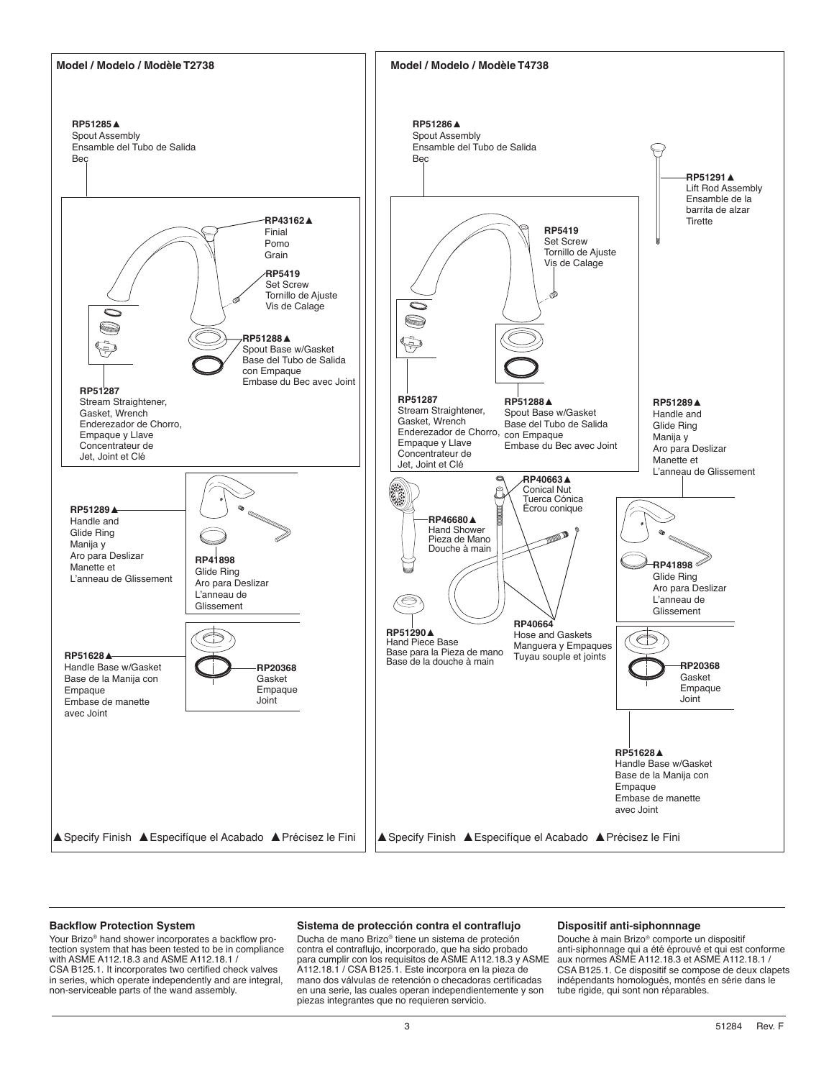

#### **Backflow Protection System**

Your Brizo® hand shower incorporates a backflow protection system that has been tested to be in compliance with ASME A112.18.3 and ASME A112.18.1 / CSA B125.1. It incorporates two certified check valves in series, which operate independently and are integral, non-serviceable parts of the wand assembly.

#### **Sistema de protección contra el contraflujo**

Ducha de mano Brizo® tiene un sistema de proteción contra el contraflujo, incorporado, que ha sido probado para cumplir con los requisitos de ASME A112.18.3 y ASME A112.18.1 / CSA B125.1. Este incorpora en la pieza de mano dos válvulas de retención o checadoras certificadas en una serie, las cuales operan independientemente y son piezas integrantes que no requieren servicio.

#### **Dispositif anti-siphonnnage**

Douche à main Brizo® comporte un dispositif anti-siphonnage qui a été éprouvé et qui est conforme aux normes ASME A112.18.3 et ASME A112.18.1 / CSA B125.1. Ce dispositif se compose de deux clapets indépendants homologués, montés en série dans le tube rigide, qui sont non réparables.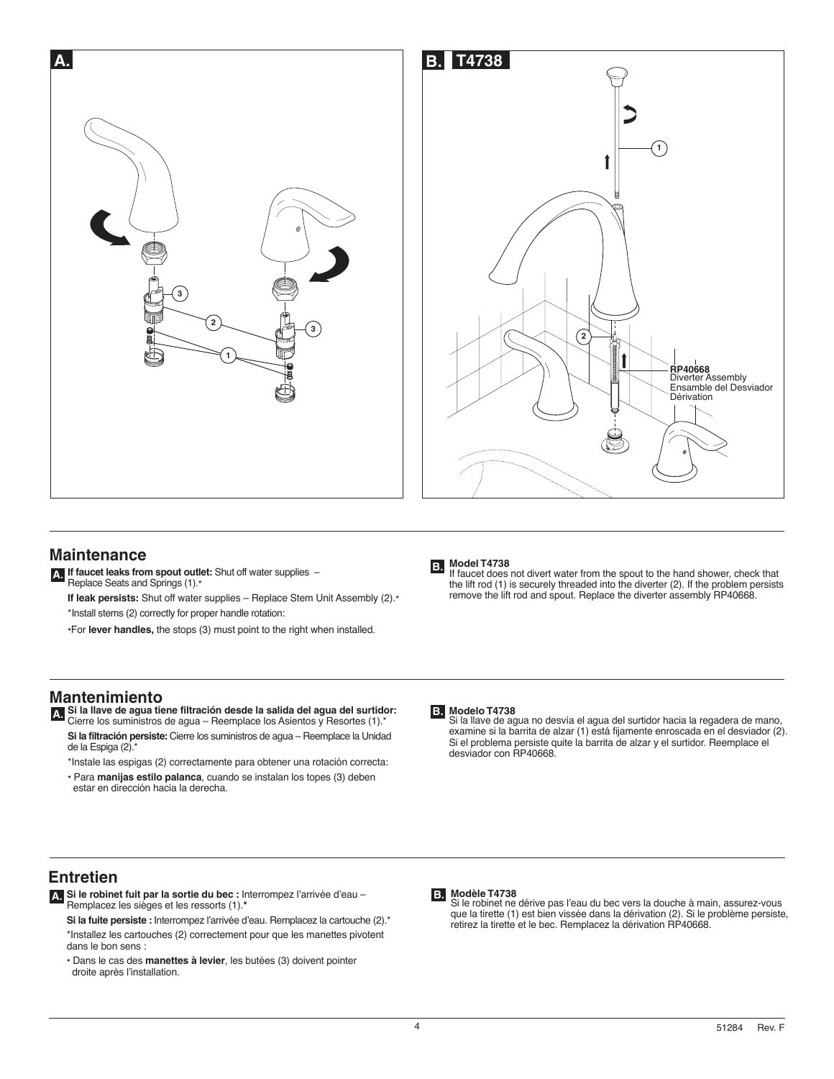



## **Maintenance**

- **A. If faucet leaks from spout outlet:** Shut off water supplies Replace Seats and Springs (1).\*
	- **If leak persists:** Shut off water supplies Replace Stem Unit Assembly (2).\* \*Install stems (2) correctly for proper handle rotation:
	- •For **lever handles,** the stops (3) must point to the right when installed.

## **Mantenimiento**

- **A. Si la llave de agua tiene filtración desde la salida del agua del surtidor:**  Cierre los suministros de agua Reemplace los Asientos y Resortes (1).\*
	- **Si la filtración persiste:** Cierre los suministros de agua Reemplace la Unidad de la Espiga (2).\*
	- \*Instale las espigas (2) correctamente para obtener una rotación correcta: • Para **manijas estilo palanca**, cuando se instalan los topes (3) deben
	- estar en dirección hacia la derecha.



If faucet does not divert water from the spout to the hand shower, check that the lift rod (1) is securely threaded into the diverter (2). If the problem persists remove the lift rod and spout. Replace the diverter assembly RP40668.

### **Modelo T4738 B.**

Si la llave de agua no desvía el agua del surtidor hacia la regadera de mano, examine si la barrita de alzar (1) está fijamente enroscada en el desviador (2). Si el problema persiste quite la barrita de alzar y el surtidor. Reemplace el desviador con RP40668.

## **Entretien**

- **A. Si le robinet fuit par la sortie du bec :** Interrompez l'arrivée d'eau Remplacez les sièges et les ressorts (1).**\*** 
	- **Si la fuite persiste :** Interrompez l'arrivée d'eau. Remplacez la cartouche (2).\* \*Installez les cartouches (2) correctement pour que les manettes pivotent dans le bon sens :
	- Dans le cas des **manettes à levier**, les butées (3) doivent pointer droite après l'installation.

**Modèle T4738** Si le robinet ne dérive pas l'eau du bec vers la douche à main, assurez-vous **B.** que la tirette (1) est bien vissée dans la dérivation (2). Si le problème persiste, retirez la tirette et le bec. Remplacez la dérivation RP40668.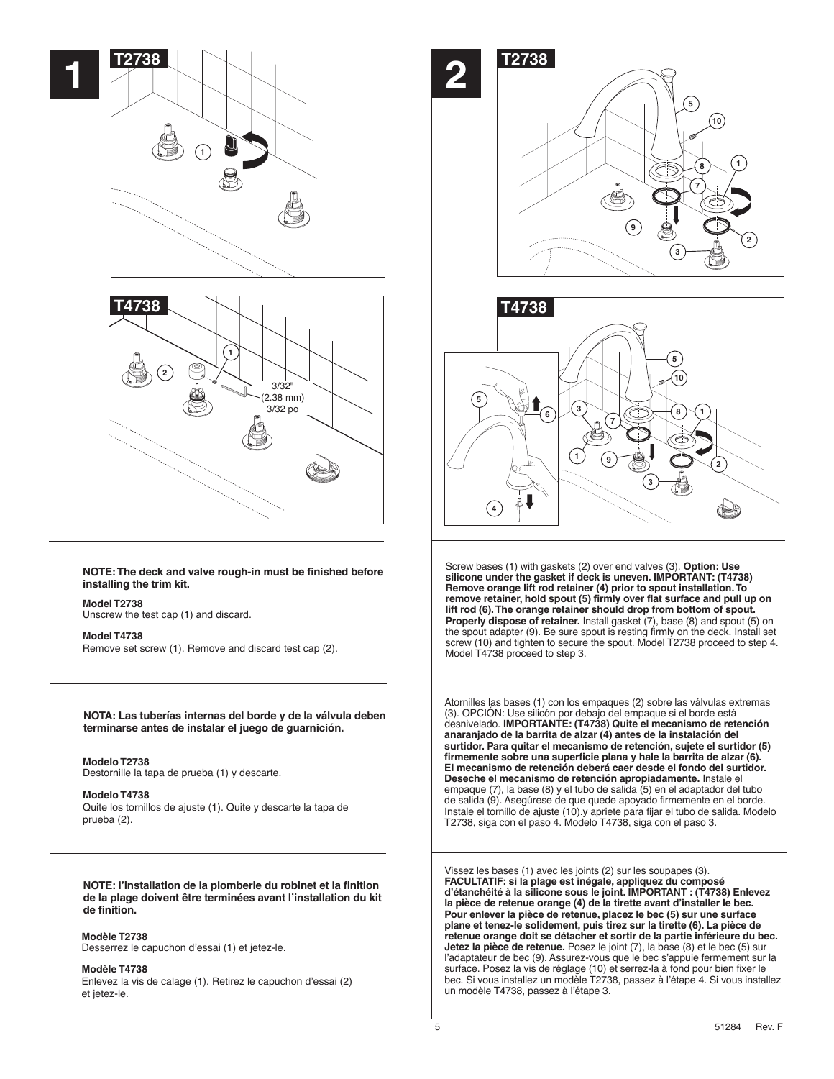

**de la plage doivent être terminées avant l'installation du kit de finition.**

**Modèle T2738**

Desserrez le capuchon d'essai (1) et jetez-le.

#### **Modèle T4738**

Enlevez la vis de calage (1). Retirez le capuchon d'essai (2) et jetez-le.





Screw bases (1) with gaskets (2) over end valves (3). **Option: Use silicone under the gasket if deck is uneven. IMPORTANT: (T4738) Remove orange lift rod retainer (4) prior to spout installation. To remove retainer, hold spout (5) firmly over flat surface and pull up on lift rod (6). The orange retainer should drop from bottom of spout. Properly dispose of retainer.** Install gasket (7), base (8) and spout (5) on the spout adapter (9). Be sure spout is resting firmly on the deck. Install set screw (10) and tighten to secure the spout. Model T2738 proceed to step 4. Model T4738 proceed to step 3.

Atornilles las bases (1) con los empaques (2) sobre las válvulas extremas (3). OPCION: Use silicón por debajo del empaque si el borde está<br>desnivelado. **IMPORTANTE: (T4738) Quite el mecanismo de retención anaranjado de la barrita de alzar (4) antes de la instalación del surtidor. Para quitar el mecanismo de retención, sujete el surtidor (5) firmemente sobre una superficie plana y hale la barrita de alzar (6). El mecanismo de retención deberá caer desde el fondo del surtidor. Deseche el mecanismo de retención apropiadamente.** Instale el empaque (7), la base (8) y el tubo de salida (5) en el adaptador del tubo de salida (9). Asegúrese de que quede apoyado firmemente en el borde. Instale el tornillo de ajuste (10).y apriete para fijar el tubo de salida. Modelo T2738, siga con el paso 4. Modelo T4738, siga con el paso 3.

Vissez les bases (1) avec les joints (2) sur les soupapes (3). **FACULTATIF: si la plage est inégale, appliquez du composé d'étanchéité à la silicone sous le joint. IMPORTANT : (T4738) Enlevez la pièce de retenue orange (4) de la tirette avant d'installer le bec. Pour enlever la pièce de retenue, placez le bec (5) sur une surface plane et tenez-le solidement, puis tirez sur la tirette (6). La pièce de retenue orange doit se détacher et sortir de la partie inférieure du bec. Jetez la pièce de retenue.** Posez le joint (7), la base (8) et le bec (5) sur l'adaptateur de bec (9). Assurez-vous que le bec s'appuie fermement sur la surface. Posez la vis de réglage (10) et serrez-la à fond pour bien fixer le bec. Si vous installez un modèle T2738, passez à l'étape 4. Si vous installez un modèle T4738, passez à l'étape 3.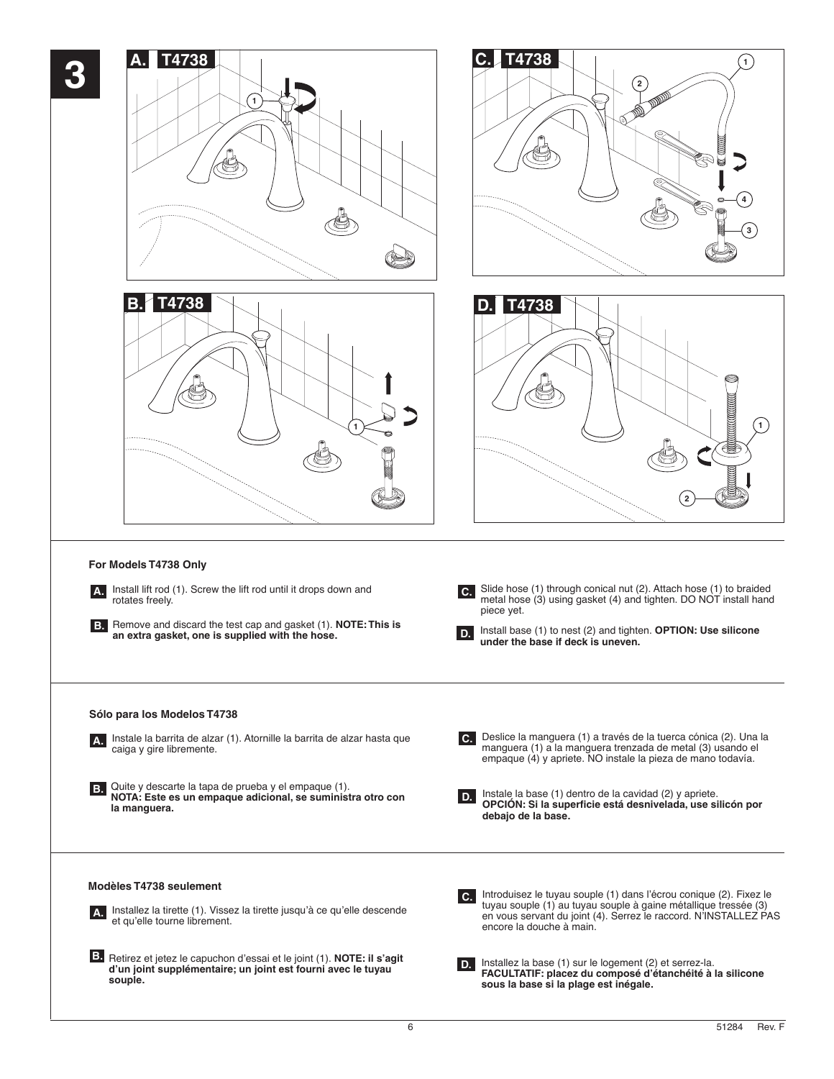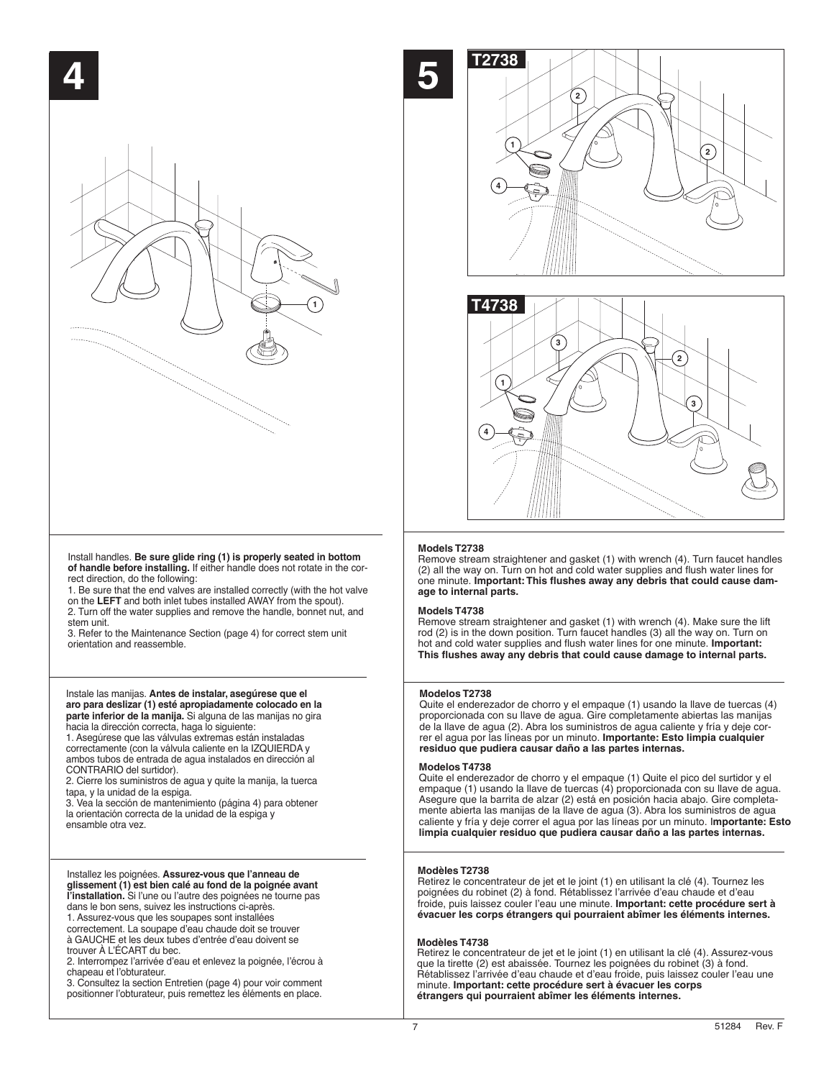

Install handles. **Be sure glide ring (1) is properly seated in bottom of handle before installing.** If either handle does not rotate in the correct direction, do the following:

1. Be sure that the end valves are installed correctly (with the hot valve on the **LEFT** and both inlet tubes installed AWAY from the spout). 2. Turn off the water supplies and remove the handle, bonnet nut, and stem unit.

3. Refer to the Maintenance Section (page 4) for correct stem unit orientation and reassemble.

#### Instale las manijas. **Antes de instalar, asegúrese que el aro para deslizar (1) esté apropiadamente colocado en la parte inferior de la manija.** Si alguna de las manijas no gira hacia la dirección correcta, haga lo siguiente:

1. Asegúrese que las válvulas extremas están instaladas correctamente (con la válvula caliente en la IZQUIERDA y ambos tubos de entrada de agua instalados en dirección al CONTRARIO del surtidor).

2. Cierre los suministros de agua y quite la manija, la tuerca tapa, y la unidad de la espiga.

3. Vea la sección de mantenimiento (página 4) para obtener la orientación correcta de la unidad de la espiga y ensamble otra vez.

#### Installez les poignées. **Assurez-vous que l'anneau de glissement (1) est bien calé au fond de la poignée avant l'installation.** Si l'une ou l'autre des poignées ne tourne pas dans le bon sens, suivez les instructions ci-après.

1. Assurez-vous que les soupapes sont installées correctement. La soupape d'eau chaude doit se trouver à GAUCHE et les deux tubes d'entrée d'eau doivent se trouver À L'ÉCART du bec.

2. Interrompez l'arrivée d'eau et enlevez la poignée, l'écrou à chapeau et l'obturateur.

3. Consultez la section Entretien (page 4) pour voir comment positionner l'obturateur, puis remettez les éléments en place.





### **Models T2738**

Remove stream straightener and gasket (1) with wrench (4). Turn faucet handles (2) all the way on. Turn on hot and cold water supplies and flush water lines for one minute. **Important: This flushes away any debris that could cause damage to internal parts.**

#### **Models T4738**

Remove stream straightener and gasket (1) with wrench (4). Make sure the lift rod (2) is in the down position. Turn faucet handles (3) all the way on. Turn on hot and cold water supplies and flush water lines for one minute. **Important: This flushes away any debris that could cause damage to internal parts.**

#### **Modelos T2738**

Quite el enderezador de chorro y el empaque (1) usando la llave de tuercas (4) proporcionada con su llave de agua. Gire completamente abiertas las manijas de la llave de agua (2). Abra los suministros de agua caliente y fría y deje correr el agua por las líneas por un minuto. **Importante: Esto limpia cualquier residuo que pudiera causar daño a las partes internas.**

#### **Modelos T4738**

Quite el enderezador de chorro y el empaque (1) Quite el pico del surtidor y el empaque (1) usando la llave de tuercas (4) proporcionada con su llave de agua. Asegure que la barrita de alzar (2) está en posición hacia abajo. Gire completamente abierta las manijas de la llave de agua (3). Abra los suministros de agua caliente y fría y deje correr el agua por las líneas por un minuto. I**mportante: Esto limpia cualquier residuo que pudiera causar daño a las partes internas.**

#### **Modèles T2738**

Retirez le concentrateur de jet et le joint (1) en utilisant la clé (4). Tournez les poignées du robinet (2) à fond. Rétablissez l'arrivée d'eau chaude et d'eau froide, puis laissez couler l'eau une minute. **Important: cette procédure sert à évacuer les corps étrangers qui pourraient abîmer les éléments internes.**

#### **Modèles T4738**

Retirez le concentrateur de jet et le joint (1) en utilisant la clé (4). Assurez-vous que la tirette (2) est abaissée. Tournez les poignées du robinet (3) à fond. Rétablissez l'arrivée d'eau chaude et d'eau froide, puis laissez couler l'eau une minute. **Important: cette procédure sert à évacuer les corps étrangers qui pourraient abîmer les éléments internes.**